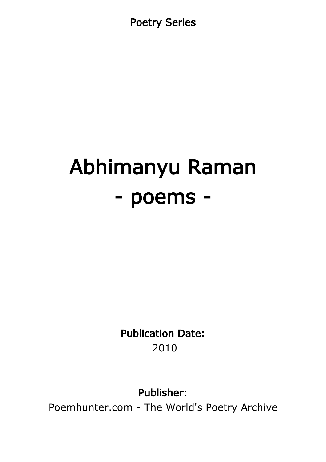Poetry Series

# Abhimanyu Raman - poems -

Publication Date: 2010

Publisher:

Poemhunter.com - The World's Poetry Archive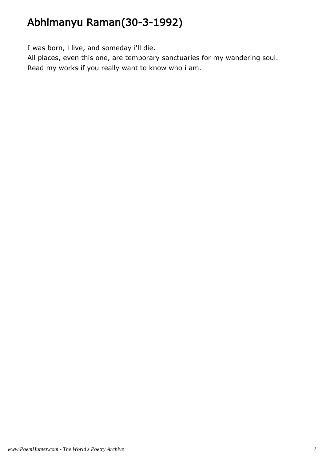# Abhimanyu Raman(30-3-1992)

I was born, i live, and someday i'll die.

All places, even this one, are temporary sanctuaries for my wandering soul. Read my works if you really want to know who i am.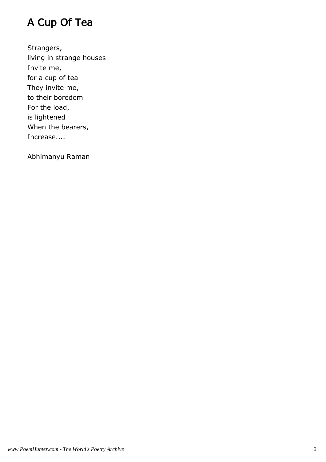## A Cup Of Tea

Strangers, living in strange houses Invite me, for a cup of tea They invite me, to their boredom For the load, is lightened When the bearers, Increase....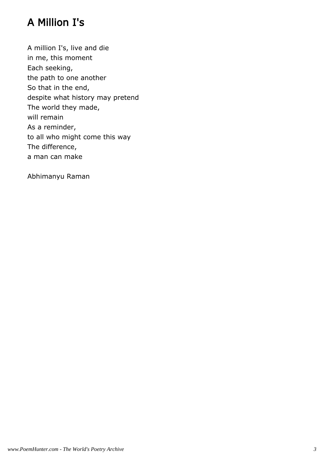## A Million I's

A million I's, live and die in me, this moment Each seeking, the path to one another So that in the end, despite what history may pretend The world they made, will remain As a reminder, to all who might come this way The difference, a man can make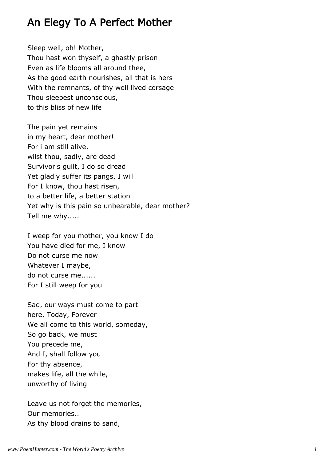#### An Elegy To A Perfect Mother

Sleep well, oh! Mother, Thou hast won thyself, a ghastly prison Even as life blooms all around thee, As the good earth nourishes, all that is hers With the remnants, of thy well lived corsage Thou sleepest unconscious, to this bliss of new life

The pain yet remains in my heart, dear mother! For i am still alive, wilst thou, sadly, are dead Survivor's guilt, I do so dread Yet gladly suffer its pangs, I will For I know, thou hast risen, to a better life, a better station Yet why is this pain so unbearable, dear mother? Tell me why.....

I weep for you mother, you know I do You have died for me, I know Do not curse me now Whatever I maybe, do not curse me...... For I still weep for you

Sad, our ways must come to part here, Today, Forever We all come to this world, someday, So go back, we must You precede me, And I, shall follow you For thy absence, makes life, all the while, unworthy of living

Leave us not forget the memories, Our memories.. As thy blood drains to sand,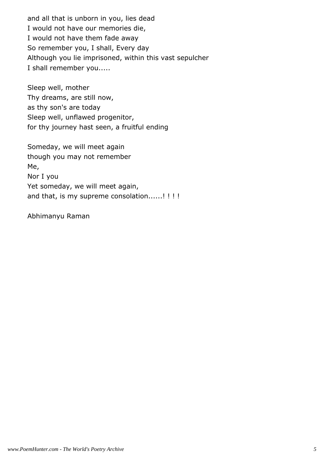and all that is unborn in you, lies dead I would not have our memories die, I would not have them fade away So remember you, I shall, Every day Although you lie imprisoned, within this vast sepulcher I shall remember you.....

Sleep well, mother Thy dreams, are still now, as thy son's are today Sleep well, unflawed progenitor, for thy journey hast seen, a fruitful ending

Someday, we will meet again though you may not remember Me, Nor I you Yet someday, we will meet again, and that, is my supreme consolation......! !!!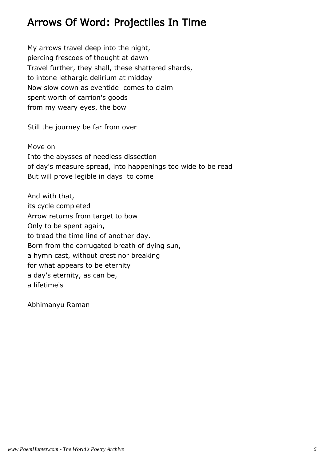## Arrows Of Word: Projectiles In Time

My arrows travel deep into the night, piercing frescoes of thought at dawn Travel further, they shall, these shattered shards, to intone lethargic delirium at midday Now slow down as eventide comes to claim spent worth of carrion's goods from my weary eyes, the bow

Still the journey be far from over

Move on Into the abysses of needless dissection of day's measure spread, into happenings too wide to be read But will prove legible in days to come

And with that, its cycle completed Arrow returns from target to bow Only to be spent again, to tread the time line of another day. Born from the corrugated breath of dying sun, a hymn cast, without crest nor breaking for what appears to be eternity a day's eternity, as can be, a lifetime's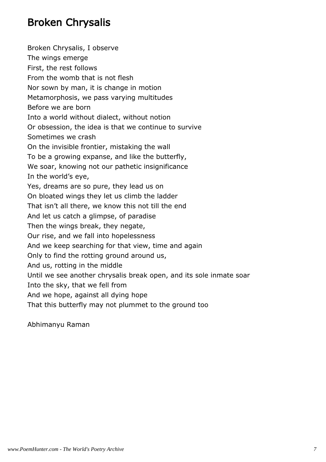## Broken Chrysalis

Broken Chrysalis, I observe The wings emerge First, the rest follows From the womb that is not flesh Nor sown by man, it is change in motion Metamorphosis, we pass varying multitudes Before we are born Into a world without dialect, without notion Or obsession, the idea is that we continue to survive Sometimes we crash On the invisible frontier, mistaking the wall To be a growing expanse, and like the butterfly, We soar, knowing not our pathetic insignificance In the world's eye, Yes, dreams are so pure, they lead us on On bloated wings they let us climb the ladder That isn't all there, we know this not till the end And let us catch a glimpse, of paradise Then the wings break, they negate, Our rise, and we fall into hopelessness And we keep searching for that view, time and again Only to find the rotting ground around us, And us, rotting in the middle Until we see another chrysalis break open, and its sole inmate soar Into the sky, that we fell from And we hope, against all dying hope That this butterfly may not plummet to the ground too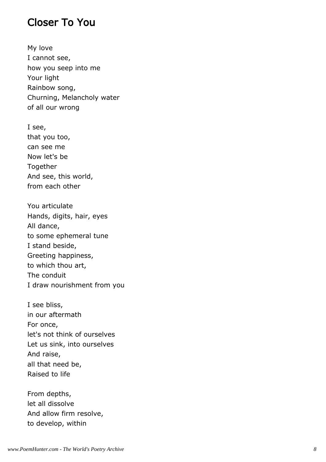#### Closer To You

My love I cannot see, how you seep into me Your light Rainbow song, Churning, Melancholy water of all our wrong

I see, that you too, can see me Now let's be Together And see, this world, from each other

You articulate Hands, digits, hair, eyes All dance, to some ephemeral tune I stand beside, Greeting happiness, to which thou art, The conduit I draw nourishment from you

I see bliss, in our aftermath For once, let's not think of ourselves Let us sink, into ourselves And raise, all that need be, Raised to life

From depths, let all dissolve And allow firm resolve, to develop, within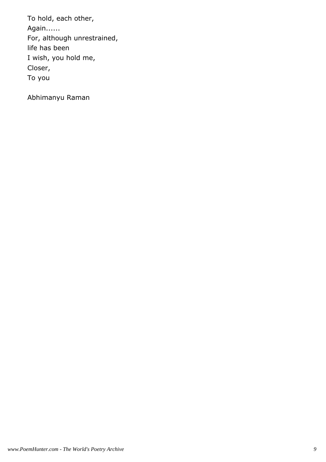To hold, each other, Again...... For, although unrestrained, life has been I wish, you hold me, Closer, To you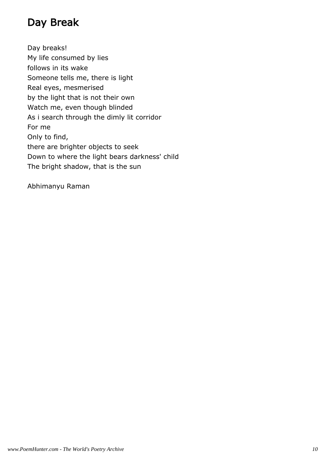## Day Break

Day breaks! My life consumed by lies follows in its wake Someone tells me, there is light Real eyes, mesmerised by the light that is not their own Watch me, even though blinded As i search through the dimly lit corridor For me Only to find, there are brighter objects to seek Down to where the light bears darkness' child The bright shadow, that is the sun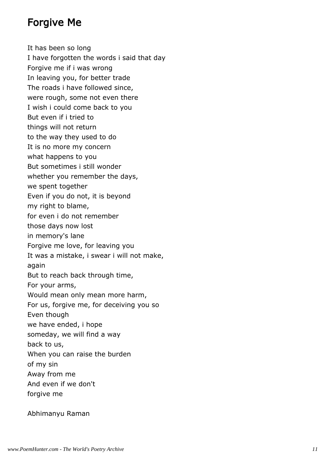#### Forgive Me

It has been so long I have forgotten the words i said that day Forgive me if i was wrong In leaving you, for better trade The roads i have followed since, were rough, some not even there I wish i could come back to you But even if i tried to things will not return to the way they used to do It is no more my concern what happens to you But sometimes i still wonder whether you remember the days, we spent together Even if you do not, it is beyond my right to blame, for even i do not remember those days now lost in memory's lane Forgive me love, for leaving you It was a mistake, i swear i will not make, again But to reach back through time, For your arms, Would mean only mean more harm, For us, forgive me, for deceiving you so Even though we have ended, i hope someday, we will find a way back to us, When you can raise the burden of my sin Away from me And even if we don't forgive me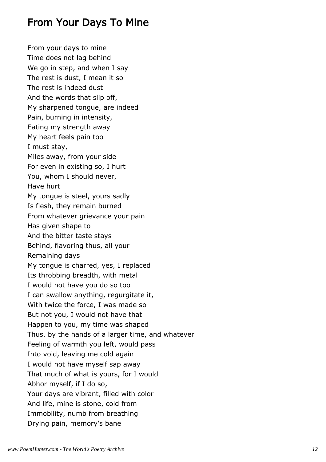## From Your Days To Mine

From your days to mine Time does not lag behind We go in step, and when I say The rest is dust, I mean it so The rest is indeed dust And the words that slip off, My sharpened tongue, are indeed Pain, burning in intensity, Eating my strength away My heart feels pain too I must stay, Miles away, from your side For even in existing so, I hurt You, whom I should never, Have hurt My tongue is steel, yours sadly Is flesh, they remain burned From whatever grievance your pain Has given shape to And the bitter taste stays Behind, flavoring thus, all your Remaining days My tongue is charred, yes, I replaced Its throbbing breadth, with metal I would not have you do so too I can swallow anything, regurgitate it, With twice the force, I was made so But not you, I would not have that Happen to you, my time was shaped Thus, by the hands of a larger time, and whatever Feeling of warmth you left, would pass Into void, leaving me cold again I would not have myself sap away That much of what is yours, for I would Abhor myself, if I do so, Your days are vibrant, filled with color And life, mine is stone, cold from Immobility, numb from breathing Drying pain, memory's bane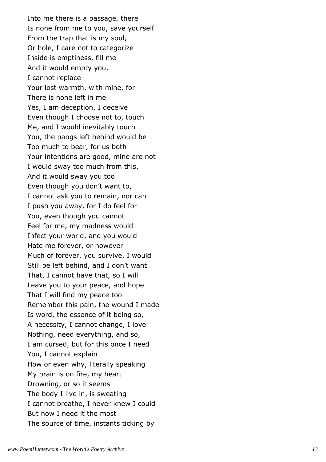Into me there is a passage, there Is none from me to you, save yourself From the trap that is my soul, Or hole, I care not to categorize Inside is emptiness, fill me And it would empty you, I cannot replace Your lost warmth, with mine, for There is none left in me Yes, I am deception, I deceive Even though I choose not to, touch Me, and I would inevitably touch You, the pangs left behind would be Too much to bear, for us both Your intentions are good, mine are not I would sway too much from this, And it would sway you too Even though you don't want to, I cannot ask you to remain, nor can I push you away, for I do feel for You, even though you cannot Feel for me, my madness would Infect your world, and you would Hate me forever, or however Much of forever, you survive, I would Still be left behind, and I don't want That, I cannot have that, so I will Leave you to your peace, and hope That I will find my peace too Remember this pain, the wound I made Is word, the essence of it being so, A necessity, I cannot change, I love Nothing, need everything, and so, I am cursed, but for this once I need You, I cannot explain How or even why, literally speaking My brain is on fire, my heart Drowning, or so it seems The body I live in, is sweating I cannot breathe, I never knew I could But now I need it the most The source of time, instants ticking by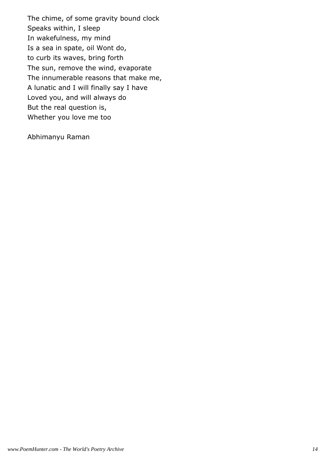The chime, of some gravity bound clock Speaks within, I sleep In wakefulness, my mind Is a sea in spate, oil Wont do, to curb its waves, bring forth The sun, remove the wind, evaporate The innumerable reasons that make me, A lunatic and I will finally say I have Loved you, and will always do But the real question is, Whether you love me too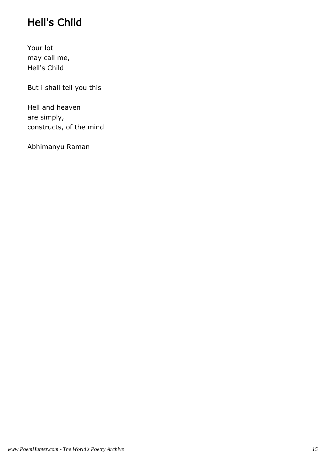# Hell's Child

Your lot may call me, Hell's Child

But i shall tell you this

Hell and heaven are simply, constructs, of the mind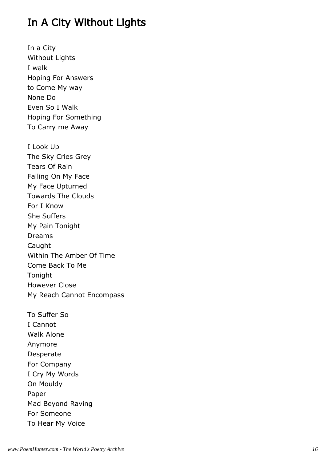## In A City Without Lights

In a City Without Lights I walk Hoping For Answers to Come My way None Do Even So I Walk Hoping For Something To Carry me Away

I Look Up The Sky Cries Grey Tears Of Rain Falling On My Face My Face Upturned Towards The Clouds For I Know She Suffers My Pain Tonight Dreams Caught Within The Amber Of Time Come Back To Me Tonight However Close My Reach Cannot Encompass

To Suffer So I Cannot Walk Alone Anymore Desperate For Company I Cry My Words On Mouldy Paper Mad Beyond Raving For Someone To Hear My Voice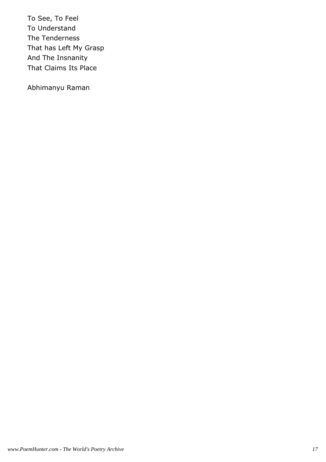To See, To Feel To Understand The Tenderness That has Left My Grasp And The Insnanity That Claims Its Place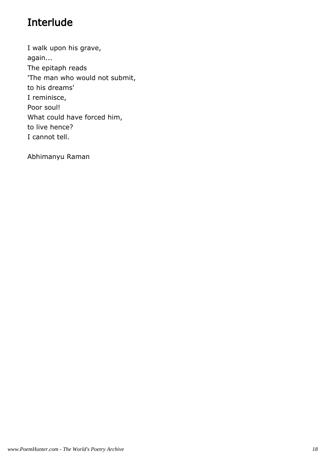## Interlude

I walk upon his grave, again... The epitaph reads 'The man who would not submit, to his dreams' I reminisce, Poor soul! What could have forced him, to live hence? I cannot tell.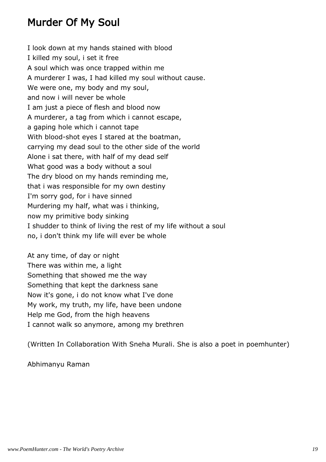## Murder Of My Soul

I look down at my hands stained with blood I killed my soul, i set it free A soul which was once trapped within me A murderer I was, I had killed my soul without cause. We were one, my body and my soul, and now i will never be whole I am just a piece of flesh and blood now A murderer, a tag from which i cannot escape, a gaping hole which i cannot tape With blood-shot eyes I stared at the boatman, carrying my dead soul to the other side of the world Alone i sat there, with half of my dead self What good was a body without a soul The dry blood on my hands reminding me, that i was responsible for my own destiny I'm sorry god, for i have sinned Murdering my half, what was i thinking, now my primitive body sinking I shudder to think of living the rest of my life without a soul no, i don't think my life will ever be whole

At any time, of day or night There was within me, a light Something that showed me the way Something that kept the darkness sane Now it's gone, i do not know what I've done My work, my truth, my life, have been undone Help me God, from the high heavens I cannot walk so anymore, among my brethren

(Written In Collaboration With Sneha Murali. She is also a poet in poemhunter)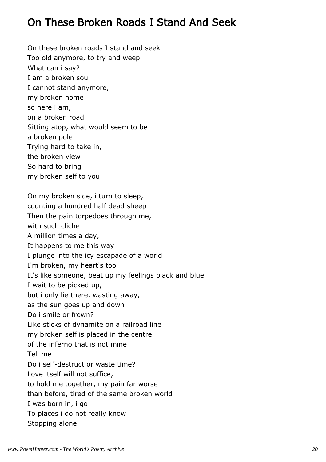## On These Broken Roads I Stand And Seek

On these broken roads I stand and seek Too old anymore, to try and weep What can i say? I am a broken soul I cannot stand anymore, my broken home so here i am, on a broken road Sitting atop, what would seem to be a broken pole Trying hard to take in, the broken view So hard to bring my broken self to you On my broken side, i turn to sleep, counting a hundred half dead sheep Then the pain torpedoes through me, with such cliche A million times a day, It happens to me this way I plunge into the icy escapade of a world I'm broken, my heart's too It's like someone, beat up my feelings black and blue I wait to be picked up, but i only lie there, wasting away, as the sun goes up and down Do i smile or frown? Like sticks of dynamite on a railroad line my broken self is placed in the centre of the inferno that is not mine Tell me Do i self-destruct or waste time? Love itself will not suffice, to hold me together, my pain far worse than before, tired of the same broken world I was born in, i go To places i do not really know Stopping alone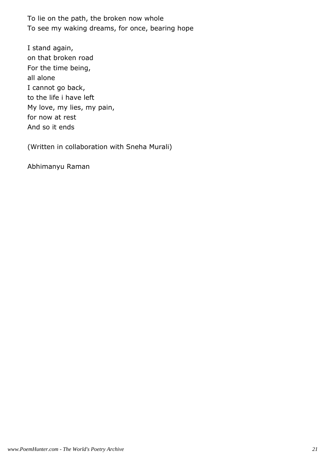To lie on the path, the broken now whole To see my waking dreams, for once, bearing hope

I stand again, on that broken road For the time being, all alone I cannot go back, to the life i have left My love, my lies, my pain, for now at rest And so it ends

(Written in collaboration with Sneha Murali)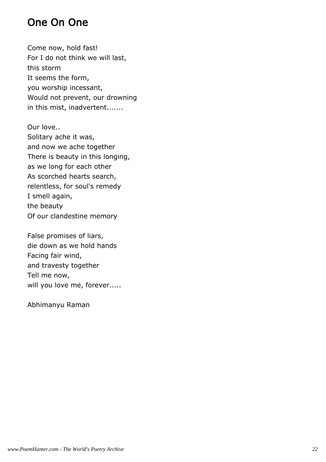## One On One

Come now, hold fast! For I do not think we will last, this storm It seems the form, you worship incessant, Would not prevent, our drowning in this mist, inadvertent.......

Our love.. Solitary ache it was, and now we ache together There is beauty in this longing, as we long for each other As scorched hearts search, relentless, for soul's remedy I smell again, the beauty Of our clandestine memory

False promises of liars, die down as we hold hands Facing fair wind, and travesty together Tell me now, will you love me, forever.....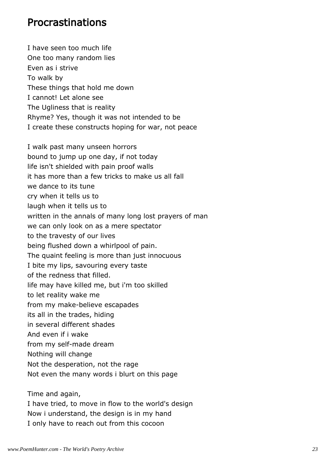#### Procrastinations

I have seen too much life One too many random lies Even as i strive To walk by These things that hold me down I cannot! Let alone see The Ugliness that is reality Rhyme? Yes, though it was not intended to be I create these constructs hoping for war, not peace I walk past many unseen horrors bound to jump up one day, if not today life isn't shielded with pain proof walls it has more than a few tricks to make us all fall we dance to its tune cry when it tells us to laugh when it tells us to written in the annals of many long lost prayers of man we can only look on as a mere spectator to the travesty of our lives being flushed down a whirlpool of pain. The quaint feeling is more than just innocuous I bite my lips, savouring every taste of the redness that filled. life may have killed me, but i'm too skilled to let reality wake me from my make-believe escapades its all in the trades, hiding in several different shades And even if i wake from my self-made dream Nothing will change Not the desperation, not the rage Not even the many words i blurt on this page Time and again,

I have tried, to move in flow to the world's design Now i understand, the design is in my hand I only have to reach out from this cocoon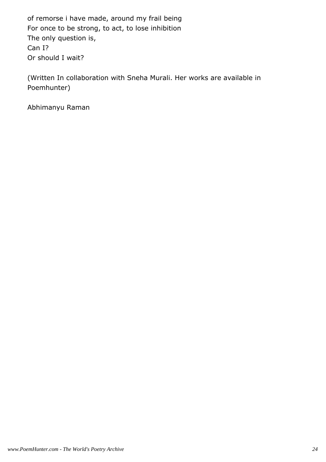of remorse i have made, around my frail being For once to be strong, to act, to lose inhibition The only question is, Can I? Or should I wait?

(Written In collaboration with Sneha Murali. Her works are available in Poemhunter)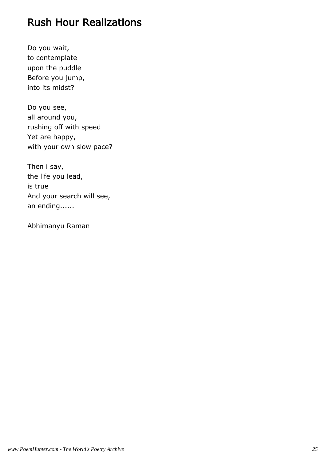## Rush Hour Realizations

Do you wait, to contemplate upon the puddle Before you jump, into its midst?

Do you see, all around you, rushing off with speed Yet are happy, with your own slow pace?

Then i say, the life you lead, is true And your search will see, an ending......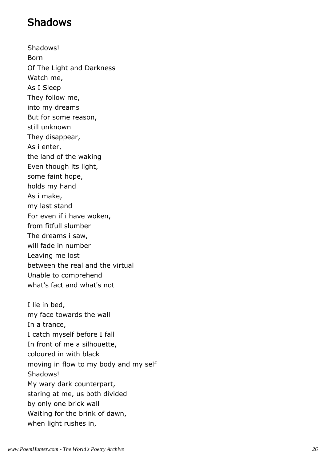## Shadows

Shadows! Born Of The Light and Darkness Watch me, As I Sleep They follow me, into my dreams But for some reason, still unknown They disappear, As i enter, the land of the waking Even though its light, some faint hope, holds my hand As i make, my last stand For even if i have woken, from fitfull slumber The dreams i saw, will fade in number Leaving me lost between the real and the virtual Unable to comprehend what's fact and what's not I lie in bed, my face towards the wall In a trance, I catch myself before I fall In front of me a silhouette, coloured in with black moving in flow to my body and my self Shadows! My wary dark counterpart, staring at me, us both divided by only one brick wall Waiting for the brink of dawn, when light rushes in,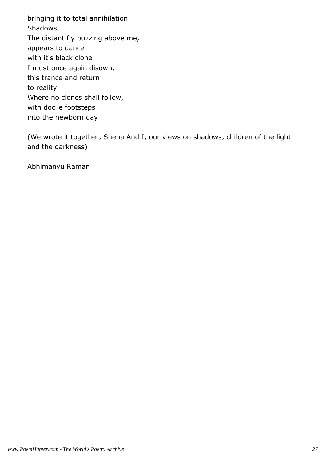bringing it to total annihilation Shadows! The distant fly buzzing above me, appears to dance with it's black clone I must once again disown, this trance and return to reality Where no clones shall follow, with docile footsteps into the newborn day

(We wrote it together, Sneha And I, our views on shadows, children of the light and the darkness)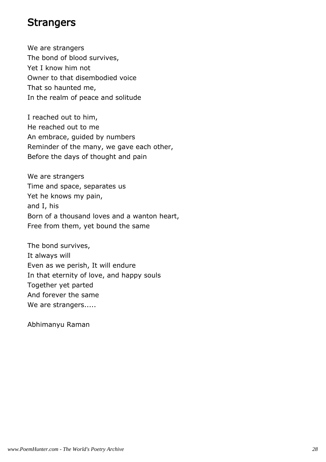#### **Strangers**

We are strangers The bond of blood survives, Yet I know him not Owner to that disembodied voice That so haunted me, In the realm of peace and solitude

I reached out to him, He reached out to me An embrace, guided by numbers Reminder of the many, we gave each other, Before the days of thought and pain

We are strangers Time and space, separates us Yet he knows my pain, and I, his Born of a thousand loves and a wanton heart, Free from them, yet bound the same

The bond survives, It always will Even as we perish, It will endure In that eternity of love, and happy souls Together yet parted And forever the same We are strangers.....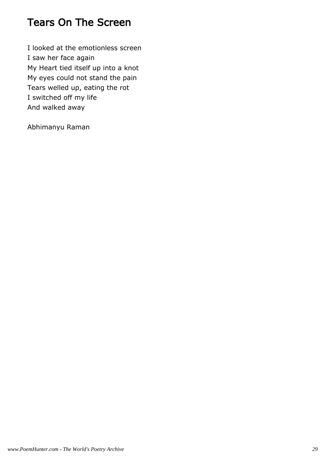## Tears On The Screen

I looked at the emotionless screen I saw her face again My Heart tied itself up into a knot My eyes could not stand the pain Tears welled up, eating the rot I switched off my life And walked away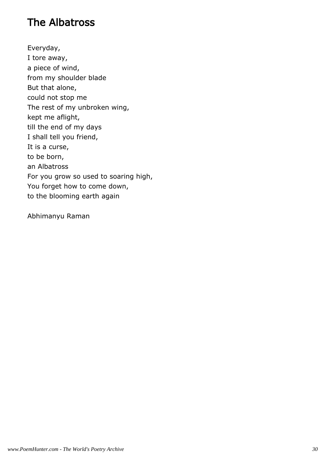## The Albatross

Everyday, I tore away, a piece of wind, from my shoulder blade But that alone, could not stop me The rest of my unbroken wing, kept me aflight, till the end of my days I shall tell you friend, It is a curse, to be born, an Albatross For you grow so used to soaring high, You forget how to come down, to the blooming earth again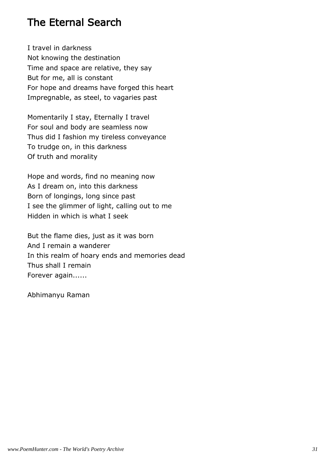## The Eternal Search

I travel in darkness Not knowing the destination Time and space are relative, they say But for me, all is constant For hope and dreams have forged this heart Impregnable, as steel, to vagaries past

Momentarily I stay, Eternally I travel For soul and body are seamless now Thus did I fashion my tireless conveyance To trudge on, in this darkness Of truth and morality

Hope and words, find no meaning now As I dream on, into this darkness Born of longings, long since past I see the glimmer of light, calling out to me Hidden in which is what I seek

But the flame dies, just as it was born And I remain a wanderer In this realm of hoary ends and memories dead Thus shall I remain Forever again......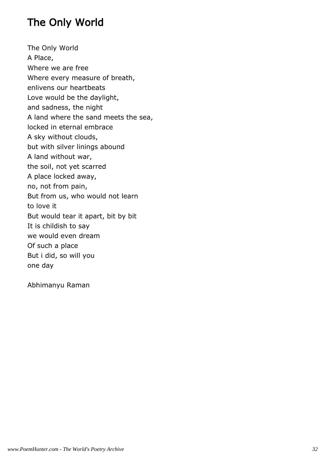## The Only World

The Only World A Place, Where we are free Where every measure of breath, enlivens our heartbeats Love would be the daylight, and sadness, the night A land where the sand meets the sea, locked in eternal embrace A sky without clouds, but with silver linings abound A land without war, the soil, not yet scarred A place locked away, no, not from pain, But from us, who would not learn to love it But would tear it apart, bit by bit It is childish to say we would even dream Of such a place But i did, so will you one day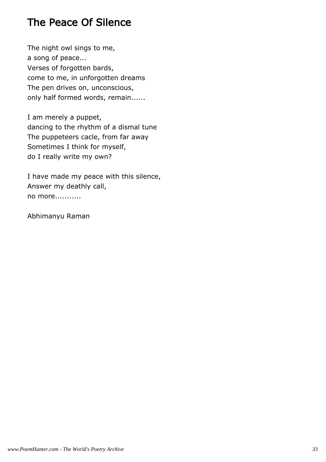## The Peace Of Silence

The night owl sings to me, a song of peace... Verses of forgotten bards, come to me, in unforgotten dreams The pen drives on, unconscious, only half formed words, remain......

I am merely a puppet, dancing to the rhythm of a dismal tune The puppeteers cacle, from far away Sometimes I think for myself, do I really write my own?

I have made my peace with this silence, Answer my deathly call, no more...........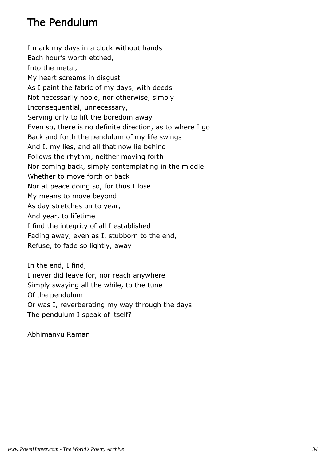## The Pendulum

I mark my days in a clock without hands Each hour's worth etched, Into the metal, My heart screams in disgust As I paint the fabric of my days, with deeds Not necessarily noble, nor otherwise, simply Inconsequential, unnecessary, Serving only to lift the boredom away Even so, there is no definite direction, as to where I go Back and forth the pendulum of my life swings And I, my lies, and all that now lie behind Follows the rhythm, neither moving forth Nor coming back, simply contemplating in the middle Whether to move forth or back Nor at peace doing so, for thus I lose My means to move beyond As day stretches on to year, And year, to lifetime I find the integrity of all I established Fading away, even as I, stubborn to the end, Refuse, to fade so lightly, away

In the end, I find, I never did leave for, nor reach anywhere Simply swaying all the while, to the tune Of the pendulum Or was I, reverberating my way through the days The pendulum I speak of itself?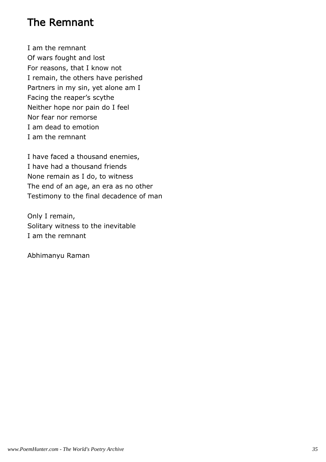#### The Remnant

I am the remnant Of wars fought and lost For reasons, that I know not I remain, the others have perished Partners in my sin, yet alone am I Facing the reaper's scythe Neither hope nor pain do I feel Nor fear nor remorse I am dead to emotion I am the remnant

I have faced a thousand enemies, I have had a thousand friends None remain as I do, to witness The end of an age, an era as no other Testimony to the final decadence of man

Only I remain, Solitary witness to the inevitable I am the remnant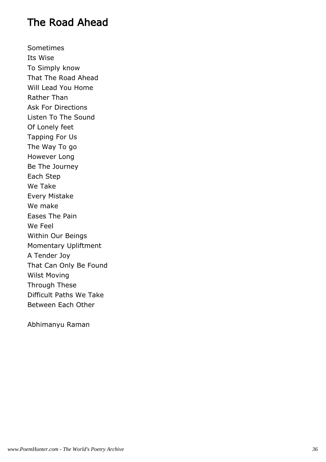## The Road Ahead

Sometimes Its Wise To Simply know That The Road Ahead Will Lead You Home Rather Than Ask For Directions Listen To The Sound Of Lonely feet Tapping For Us The Way To go However Long Be The Journey Each Step We Take Every Mistake We make Eases The Pain We Feel Within Our Beings Momentary Upliftment A Tender Joy That Can Only Be Found Wilst Moving Through These Difficult Paths We Take Between Each Other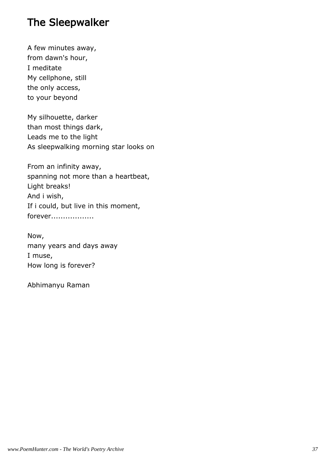## The Sleepwalker

A few minutes away, from dawn's hour, I meditate My cellphone, still the only access, to your beyond

My silhouette, darker than most things dark, Leads me to the light As sleepwalking morning star looks on

From an infinity away, spanning not more than a heartbeat, Light breaks! And i wish, If i could, but live in this moment, forever..................

Now, many years and days away I muse, How long is forever?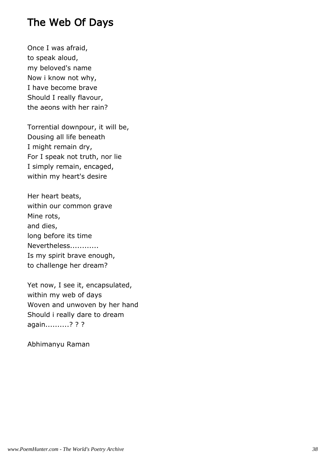## The Web Of Days

Once I was afraid, to speak aloud, my beloved's name Now i know not why, I have become brave Should I really flavour, the aeons with her rain?

Torrential downpour, it will be, Dousing all life beneath I might remain dry, For I speak not truth, nor lie I simply remain, encaged, within my heart's desire

Her heart beats, within our common grave Mine rots, and dies, long before its time Nevertheless............ Is my spirit brave enough, to challenge her dream?

Yet now, I see it, encapsulated, within my web of days Woven and unwoven by her hand Should i really dare to dream again..........? ? ?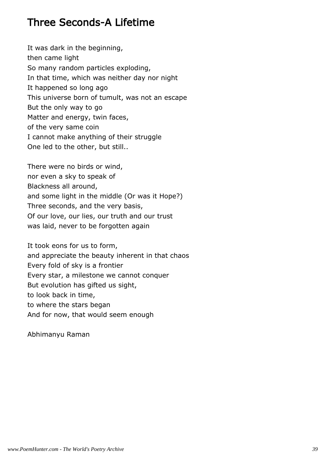#### Three Seconds-A Lifetime

It was dark in the beginning, then came light So many random particles exploding, In that time, which was neither day nor night It happened so long ago This universe born of tumult, was not an escape But the only way to go Matter and energy, twin faces, of the very same coin I cannot make anything of their struggle One led to the other, but still..

There were no birds or wind, nor even a sky to speak of Blackness all around, and some light in the middle (Or was it Hope?) Three seconds, and the very basis, Of our love, our lies, our truth and our trust was laid, never to be forgotten again

It took eons for us to form, and appreciate the beauty inherent in that chaos Every fold of sky is a frontier Every star, a milestone we cannot conquer But evolution has gifted us sight, to look back in time, to where the stars began And for now, that would seem enough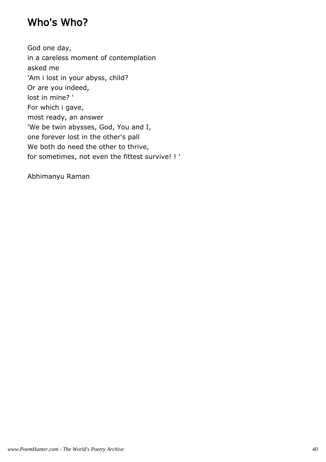## Who's Who?

God one day, in a careless moment of contemplation asked me 'Am i lost in your abyss, child? Or are you indeed, lost in mine? ' For which i gave, most ready, an answer 'We be twin abysses, God, You and I, one forever lost in the other's pall We both do need the other to thrive, for sometimes, not even the fittest survive! ! '